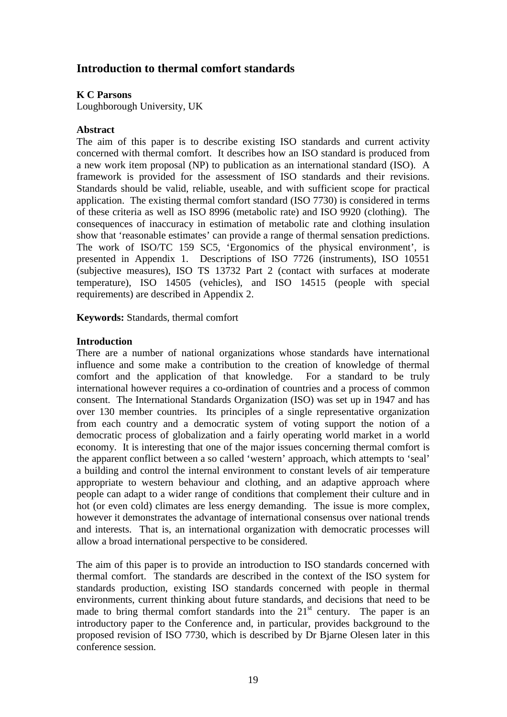# **Introduction to thermal comfort standards**

## **K C Parsons**

Loughborough University, UK

### **Abstract**

The aim of this paper is to describe existing ISO standards and current activity concerned with thermal comfort. It describes how an ISO standard is produced from a new work item proposal (NP) to publication as an international standard (ISO). A framework is provided for the assessment of ISO standards and their revisions. Standards should be valid, reliable, useable, and with sufficient scope for practical application. The existing thermal comfort standard (ISO 7730) is considered in terms of these criteria as well as ISO 8996 (metabolic rate) and ISO 9920 (clothing). The consequences of inaccuracy in estimation of metabolic rate and clothing insulation show that 'reasonable estimates' can provide a range of thermal sensation predictions. The work of ISO/TC 159 SC5, 'Ergonomics of the physical environment', is presented in Appendix 1. Descriptions of ISO 7726 (instruments), ISO 10551 (subjective measures), ISO TS 13732 Part 2 (contact with surfaces at moderate temperature), ISO 14505 (vehicles), and ISO 14515 (people with special requirements) are described in Appendix 2.

**Keywords:** Standards, thermal comfort

#### **Introduction**

There are a number of national organizations whose standards have international influence and some make a contribution to the creation of knowledge of thermal comfort and the application of that knowledge. For a standard to be truly international however requires a co-ordination of countries and a process of common consent. The International Standards Organization (ISO) was set up in 1947 and has over 130 member countries. Its principles of a single representative organization from each country and a democratic system of voting support the notion of a democratic process of globalization and a fairly operating world market in a world economy. It is interesting that one of the major issues concerning thermal comfort is the apparent conflict between a so called 'western' approach, which attempts to 'seal' a building and control the internal environment to constant levels of air temperature appropriate to western behaviour and clothing, and an adaptive approach where people can adapt to a wider range of conditions that complement their culture and in hot (or even cold) climates are less energy demanding. The issue is more complex, however it demonstrates the advantage of international consensus over national trends and interests. That is, an international organization with democratic processes will allow a broad international perspective to be considered.

The aim of this paper is to provide an introduction to ISO standards concerned with thermal comfort. The standards are described in the context of the ISO system for standards production, existing ISO standards concerned with people in thermal environments, current thinking about future standards, and decisions that need to be made to bring thermal comfort standards into the  $21<sup>st</sup>$  century. The paper is an introductory paper to the Conference and, in particular, provides background to the proposed revision of ISO 7730, which is described by Dr Bjarne Olesen later in this conference session.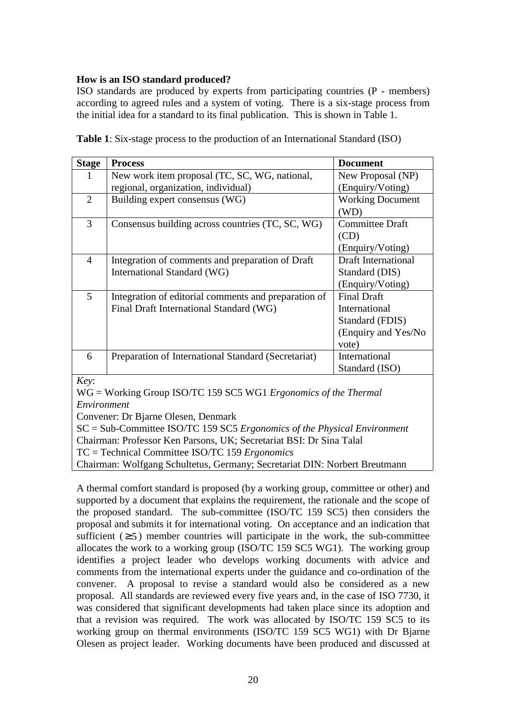## **How is an ISO standard produced?**

ISO standards are produced by experts from participating countries (P - members) according to agreed rules and a system of voting. There is a six-stage process from the initial idea for a standard to its final publication. This is shown in Table 1.

| <b>Stage</b>                                                                             | <b>Process</b>                                                                                  | <b>Document</b>                                                                        |  |  |
|------------------------------------------------------------------------------------------|-------------------------------------------------------------------------------------------------|----------------------------------------------------------------------------------------|--|--|
|                                                                                          | New work item proposal (TC, SC, WG, national,                                                   | New Proposal (NP)                                                                      |  |  |
|                                                                                          | regional, organization, individual)                                                             | (Enquiry/Voting)                                                                       |  |  |
| $\overline{2}$                                                                           | Building expert consensus (WG)                                                                  | <b>Working Document</b><br>(WD)                                                        |  |  |
| 3                                                                                        | Consensus building across countries (TC, SC, WG)                                                | <b>Committee Draft</b><br>(CD)<br>(Enquiry/Voting)                                     |  |  |
| $\overline{4}$                                                                           | Integration of comments and preparation of Draft<br>International Standard (WG)                 | <b>Draft International</b><br>Standard (DIS)<br>(Enquiry/Voting)                       |  |  |
| 5                                                                                        | Integration of editorial comments and preparation of<br>Final Draft International Standard (WG) | <b>Final Draft</b><br>International<br>Standard (FDIS)<br>(Enquiry and Yes/No<br>vote) |  |  |
| 6                                                                                        | Preparation of International Standard (Secretariat)                                             | International<br>Standard (ISO)                                                        |  |  |
| Key:<br>$WG = Working Group ISO/TC 159 SC5 WG1 Ergonomics of the Thermal$<br>Environment |                                                                                                 |                                                                                        |  |  |

**Table 1**: Six-stage process to the production of an International Standard (ISO)

Convener: Dr Bjarne Olesen, Denmark

SC = Sub-Committee ISO/TC 159 SC5 *Ergonomics of the Physical Environment*

Chairman: Professor Ken Parsons, UK; Secretariat BSI: Dr Sina Talal

TC = Technical Committee ISO/TC 159 *Ergonomics*

Chairman: Wolfgang Schultetus, Germany; Secretariat DIN: Norbert Breutmann

A thermal comfort standard is proposed (by a working group, committee or other) and supported by a document that explains the requirement, the rationale and the scope of the proposed standard. The sub-committee (ISO/TC 159 SC5) then considers the proposal and submits it for international voting. On acceptance and an indication that sufficient  $( \geq 5)$  member countries will participate in the work, the sub-committee allocates the work to a working group (ISO/TC 159 SC5 WG1). The working group identifies a project leader who develops working documents with advice and comments from the international experts under the guidance and co-ordination of the convener. A proposal to revise a standard would also be considered as a new proposal. All standards are reviewed every five years and, in the case of ISO 7730, it was considered that significant developments had taken place since its adoption and that a revision was required. The work was allocated by ISO/TC 159 SC5 to its working group on thermal environments (ISO/TC 159 SC5 WG1) with Dr Bjarne Olesen as project leader. Working documents have been produced and discussed at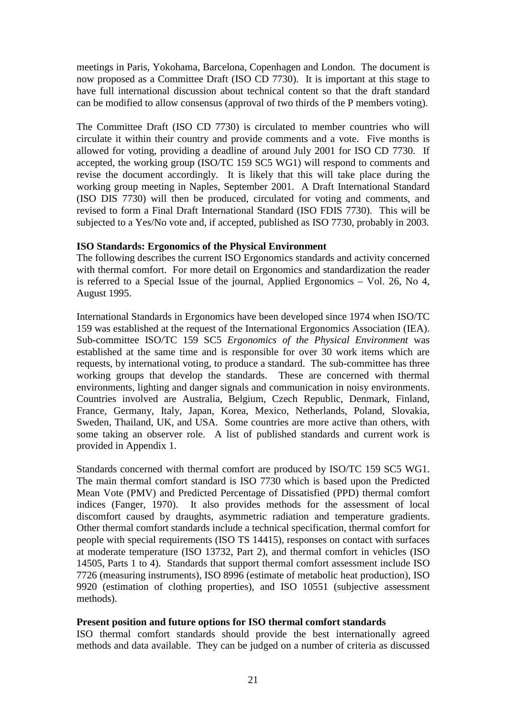meetings in Paris, Yokohama, Barcelona, Copenhagen and London. The document is now proposed as a Committee Draft (ISO CD 7730). It is important at this stage to have full international discussion about technical content so that the draft standard can be modified to allow consensus (approval of two thirds of the P members voting).

The Committee Draft (ISO CD 7730) is circulated to member countries who will circulate it within their country and provide comments and a vote. Five months is allowed for voting, providing a deadline of around July 2001 for ISO CD 7730. If accepted, the working group (ISO/TC 159 SC5 WG1) will respond to comments and revise the document accordingly. It is likely that this will take place during the working group meeting in Naples, September 2001. A Draft International Standard (ISO DIS 7730) will then be produced, circulated for voting and comments, and revised to form a Final Draft International Standard (ISO FDIS 7730). This will be subjected to a Yes/No vote and, if accepted, published as ISO 7730, probably in 2003.

#### **ISO Standards: Ergonomics of the Physical Environment**

The following describes the current ISO Ergonomics standards and activity concerned with thermal comfort. For more detail on Ergonomics and standardization the reader is referred to a Special Issue of the journal, Applied Ergonomics – Vol. 26, No 4, August 1995.

International Standards in Ergonomics have been developed since 1974 when ISO/TC 159 was established at the request of the International Ergonomics Association (IEA). Sub-committee ISO/TC 159 SC5 *Ergonomics of the Physical Environment* was established at the same time and is responsible for over 30 work items which are requests, by international voting, to produce a standard. The sub-committee has three working groups that develop the standards. These are concerned with thermal environments, lighting and danger signals and communication in noisy environments. Countries involved are Australia, Belgium, Czech Republic, Denmark, Finland, France, Germany, Italy, Japan, Korea, Mexico, Netherlands, Poland, Slovakia, Sweden, Thailand, UK, and USA. Some countries are more active than others, with some taking an observer role. A list of published standards and current work is provided in Appendix 1.

Standards concerned with thermal comfort are produced by ISO/TC 159 SC5 WG1. The main thermal comfort standard is ISO 7730 which is based upon the Predicted Mean Vote (PMV) and Predicted Percentage of Dissatisfied (PPD) thermal comfort indices (Fanger, 1970). It also provides methods for the assessment of local discomfort caused by draughts, asymmetric radiation and temperature gradients. Other thermal comfort standards include a technical specification, thermal comfort for people with special requirements (ISO TS 14415), responses on contact with surfaces at moderate temperature (ISO 13732, Part 2), and thermal comfort in vehicles (ISO 14505, Parts 1 to 4). Standards that support thermal comfort assessment include ISO 7726 (measuring instruments), ISO 8996 (estimate of metabolic heat production), ISO 9920 (estimation of clothing properties), and ISO 10551 (subjective assessment methods).

#### **Present position and future options for ISO thermal comfort standards**

ISO thermal comfort standards should provide the best internationally agreed methods and data available. They can be judged on a number of criteria as discussed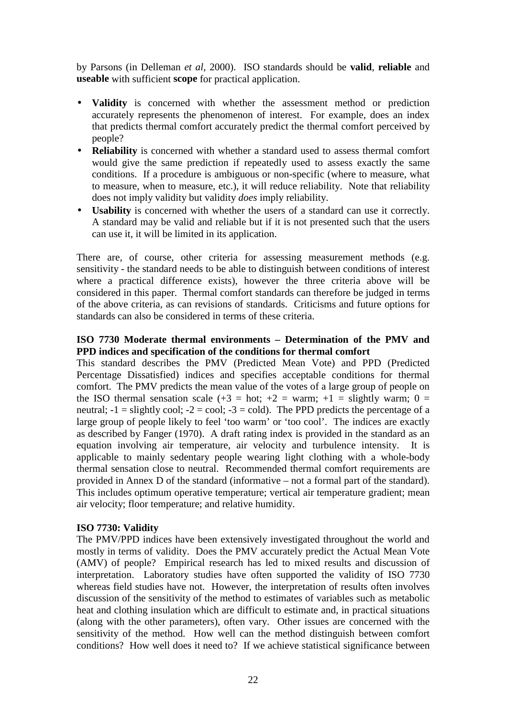by Parsons (in Delleman *et al*, 2000). ISO standards should be **valid**, **reliable** and **useable** with sufficient **scope** for practical application.

- **Validity** is concerned with whether the assessment method or prediction accurately represents the phenomenon of interest. For example, does an index that predicts thermal comfort accurately predict the thermal comfort perceived by people?
- **Reliability** is concerned with whether a standard used to assess thermal comfort would give the same prediction if repeatedly used to assess exactly the same conditions. If a procedure is ambiguous or non-specific (where to measure, what to measure, when to measure, etc.), it will reduce reliability. Note that reliability does not imply validity but validity *does* imply reliability.
- **Usability** is concerned with whether the users of a standard can use it correctly. A standard may be valid and reliable but if it is not presented such that the users can use it, it will be limited in its application.

There are, of course, other criteria for assessing measurement methods (e.g. sensitivity - the standard needs to be able to distinguish between conditions of interest where a practical difference exists), however the three criteria above will be considered in this paper. Thermal comfort standards can therefore be judged in terms of the above criteria, as can revisions of standards. Criticisms and future options for standards can also be considered in terms of these criteria.

## **ISO 7730 Moderate thermal environments – Determination of the PMV and PPD indices and specification of the conditions for thermal comfort**

This standard describes the PMV (Predicted Mean Vote) and PPD (Predicted Percentage Dissatisfied) indices and specifies acceptable conditions for thermal comfort. The PMV predicts the mean value of the votes of a large group of people on the ISO thermal sensation scale  $(+3 = hot; +2 = warm; +1 = slightly warm; 0 =$ neutral;  $-1 =$  slightly cool;  $-2 =$  cool;  $-3 =$  cold). The PPD predicts the percentage of a large group of people likely to feel 'too warm' or 'too cool'. The indices are exactly as described by Fanger (1970). A draft rating index is provided in the standard as an equation involving air temperature, air velocity and turbulence intensity. It is applicable to mainly sedentary people wearing light clothing with a whole-body thermal sensation close to neutral. Recommended thermal comfort requirements are provided in Annex D of the standard (informative – not a formal part of the standard). This includes optimum operative temperature; vertical air temperature gradient; mean air velocity; floor temperature; and relative humidity.

#### **ISO 7730: Validity**

The PMV/PPD indices have been extensively investigated throughout the world and mostly in terms of validity. Does the PMV accurately predict the Actual Mean Vote (AMV) of people? Empirical research has led to mixed results and discussion of interpretation. Laboratory studies have often supported the validity of ISO 7730 whereas field studies have not. However, the interpretation of results often involves discussion of the sensitivity of the method to estimates of variables such as metabolic heat and clothing insulation which are difficult to estimate and, in practical situations (along with the other parameters), often vary. Other issues are concerned with the sensitivity of the method. How well can the method distinguish between comfort conditions? How well does it need to? If we achieve statistical significance between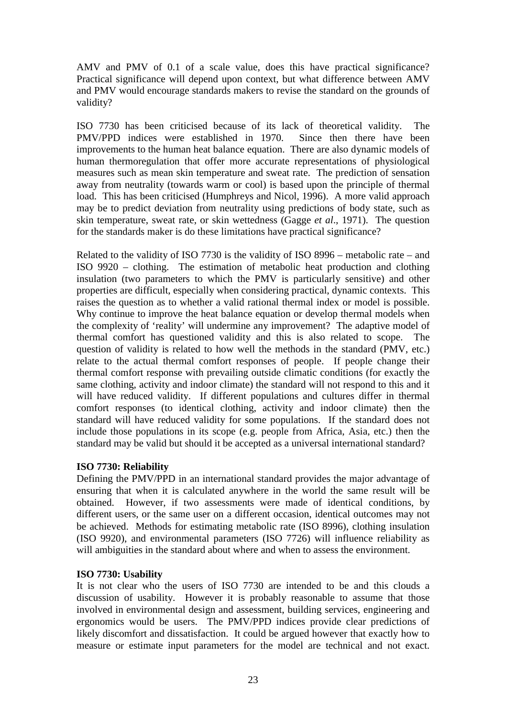AMV and PMV of 0.1 of a scale value, does this have practical significance? Practical significance will depend upon context, but what difference between AMV and PMV would encourage standards makers to revise the standard on the grounds of validity?

ISO 7730 has been criticised because of its lack of theoretical validity. The PMV/PPD indices were established in 1970. Since then there have been improvements to the human heat balance equation. There are also dynamic models of human thermoregulation that offer more accurate representations of physiological measures such as mean skin temperature and sweat rate. The prediction of sensation away from neutrality (towards warm or cool) is based upon the principle of thermal load. This has been criticised (Humphreys and Nicol, 1996). A more valid approach may be to predict deviation from neutrality using predictions of body state, such as skin temperature, sweat rate, or skin wettedness (Gagge *et al*., 1971). The question for the standards maker is do these limitations have practical significance?

Related to the validity of ISO 7730 is the validity of ISO 8996 – metabolic rate – and ISO 9920 – clothing. The estimation of metabolic heat production and clothing insulation (two parameters to which the PMV is particularly sensitive) and other properties are difficult, especially when considering practical, dynamic contexts. This raises the question as to whether a valid rational thermal index or model is possible. Why continue to improve the heat balance equation or develop thermal models when the complexity of 'reality' will undermine any improvement? The adaptive model of thermal comfort has questioned validity and this is also related to scope. The question of validity is related to how well the methods in the standard (PMV, etc.) relate to the actual thermal comfort responses of people. If people change their thermal comfort response with prevailing outside climatic conditions (for exactly the same clothing, activity and indoor climate) the standard will not respond to this and it will have reduced validity. If different populations and cultures differ in thermal comfort responses (to identical clothing, activity and indoor climate) then the standard will have reduced validity for some populations. If the standard does not include those populations in its scope (e.g. people from Africa, Asia, etc.) then the standard may be valid but should it be accepted as a universal international standard?

#### **ISO 7730: Reliability**

Defining the PMV/PPD in an international standard provides the major advantage of ensuring that when it is calculated anywhere in the world the same result will be obtained. However, if two assessments were made of identical conditions, by different users, or the same user on a different occasion, identical outcomes may not be achieved. Methods for estimating metabolic rate (ISO 8996), clothing insulation (ISO 9920), and environmental parameters (ISO 7726) will influence reliability as will ambiguities in the standard about where and when to assess the environment.

## **ISO 7730: Usability**

It is not clear who the users of ISO 7730 are intended to be and this clouds a discussion of usability. However it is probably reasonable to assume that those involved in environmental design and assessment, building services, engineering and ergonomics would be users. The PMV/PPD indices provide clear predictions of likely discomfort and dissatisfaction. It could be argued however that exactly how to measure or estimate input parameters for the model are technical and not exact.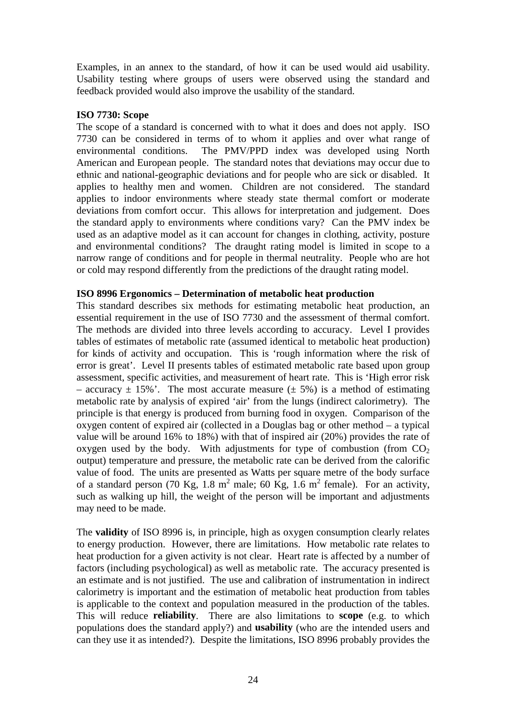Examples, in an annex to the standard, of how it can be used would aid usability. Usability testing where groups of users were observed using the standard and feedback provided would also improve the usability of the standard.

#### **ISO 7730: Scope**

The scope of a standard is concerned with to what it does and does not apply. ISO 7730 can be considered in terms of to whom it applies and over what range of environmental conditions. The PMV/PPD index was developed using North American and European people. The standard notes that deviations may occur due to ethnic and national-geographic deviations and for people who are sick or disabled. It applies to healthy men and women. Children are not considered. The standard applies to indoor environments where steady state thermal comfort or moderate deviations from comfort occur. This allows for interpretation and judgement. Does the standard apply to environments where conditions vary? Can the PMV index be used as an adaptive model as it can account for changes in clothing, activity, posture and environmental conditions? The draught rating model is limited in scope to a narrow range of conditions and for people in thermal neutrality. People who are hot or cold may respond differently from the predictions of the draught rating model.

#### **ISO 8996 Ergonomics – Determination of metabolic heat production**

This standard describes six methods for estimating metabolic heat production, an essential requirement in the use of ISO 7730 and the assessment of thermal comfort. The methods are divided into three levels according to accuracy. Level I provides tables of estimates of metabolic rate (assumed identical to metabolic heat production) for kinds of activity and occupation. This is 'rough information where the risk of error is great'. Level II presents tables of estimated metabolic rate based upon group assessment, specific activities, and measurement of heart rate. This is 'High error risk – accuracy  $\pm$  15%'. The most accurate measure ( $\pm$  5%) is a method of estimating metabolic rate by analysis of expired 'air' from the lungs (indirect calorimetry). The principle is that energy is produced from burning food in oxygen. Comparison of the oxygen content of expired air (collected in a Douglas bag or other method – a typical value will be around 16% to 18%) with that of inspired air (20%) provides the rate of oxygen used by the body. With adjustments for type of combustion (from  $CO<sub>2</sub>$ ) output) temperature and pressure, the metabolic rate can be derived from the calorific value of food. The units are presented as Watts per square metre of the body surface of a standard person (70 Kg, 1.8 m<sup>2</sup> male; 60 Kg, 1.6 m<sup>2</sup> female). For an activity, such as walking up hill, the weight of the person will be important and adjustments may need to be made.

The **validity** of ISO 8996 is, in principle, high as oxygen consumption clearly relates to energy production. However, there are limitations. How metabolic rate relates to heat production for a given activity is not clear. Heart rate is affected by a number of factors (including psychological) as well as metabolic rate. The accuracy presented is an estimate and is not justified. The use and calibration of instrumentation in indirect calorimetry is important and the estimation of metabolic heat production from tables is applicable to the context and population measured in the production of the tables. This will reduce **reliability**. There are also limitations to **scope** (e.g. to which populations does the standard apply?) and **usability** (who are the intended users and can they use it as intended?). Despite the limitations, ISO 8996 probably provides the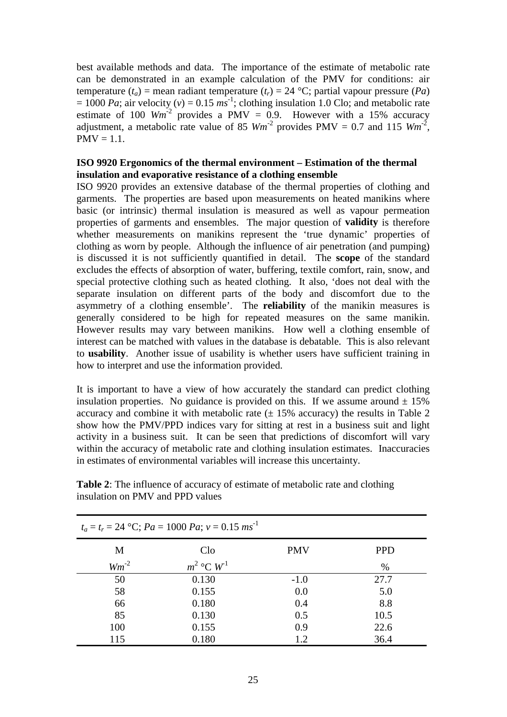best available methods and data. The importance of the estimate of metabolic rate can be demonstrated in an example calculation of the PMV for conditions: air temperature  $(t_a)$  = mean radiant temperature  $(t_r)$  = 24 °C; partial vapour pressure  $(Pa)$  $= 1000$  *Pa*; air velocity (*v*) = 0.15 *ms*<sup>-1</sup>; clothing insulation 1.0 Clo; and metabolic rate estimate of 100  $Wm^2$  provides a PMV = 0.9. However with a 15% accuracy adjustment, a metabolic rate value of 85  $Wm^2$  provides PMV = 0.7 and 115  $Wm^2$ ,  $PMV = 1.1$ .

## **ISO 9920 Ergonomics of the thermal environment – Estimation of the thermal insulation and evaporative resistance of a clothing ensemble**

ISO 9920 provides an extensive database of the thermal properties of clothing and garments. The properties are based upon measurements on heated manikins where basic (or intrinsic) thermal insulation is measured as well as vapour permeation properties of garments and ensembles. The major question of **validity** is therefore whether measurements on manikins represent the 'true dynamic' properties of clothing as worn by people. Although the influence of air penetration (and pumping) is discussed it is not sufficiently quantified in detail. The **scope** of the standard excludes the effects of absorption of water, buffering, textile comfort, rain, snow, and special protective clothing such as heated clothing. It also, 'does not deal with the separate insulation on different parts of the body and discomfort due to the asymmetry of a clothing ensemble'. The **reliability** of the manikin measures is generally considered to be high for repeated measures on the same manikin. However results may vary between manikins. How well a clothing ensemble of interest can be matched with values in the database is debatable. This is also relevant to **usability**. Another issue of usability is whether users have sufficient training in how to interpret and use the information provided.

It is important to have a view of how accurately the standard can predict clothing insulation properties. No guidance is provided on this. If we assume around  $\pm 15\%$ accuracy and combine it with metabolic rate  $(\pm 15\%$  accuracy) the results in Table 2 show how the PMV/PPD indices vary for sitting at rest in a business suit and light activity in a business suit. It can be seen that predictions of discomfort will vary within the accuracy of metabolic rate and clothing insulation estimates. Inaccuracies in estimates of environmental variables will increase this uncertainty.

| $t_a = t_r = 24$ °C; $Pa = 1000$ $Pa$ ; $v = 0.15$ $ms^{-1}$ |                |            |            |  |  |
|--------------------------------------------------------------|----------------|------------|------------|--|--|
| M                                                            | Clo            | <b>PMV</b> | <b>PPD</b> |  |  |
| $Wm^{-2}$                                                    | $m^2$ °C $W^1$ |            | $\%$       |  |  |
| 50                                                           | 0.130          | $-1.0$     | 27.7       |  |  |
| 58                                                           | 0.155          | 0.0        | 5.0        |  |  |
| 66                                                           | 0.180          | 0.4        | 8.8        |  |  |
| 85                                                           | 0.130          | 0.5        | 10.5       |  |  |
| 100                                                          | 0.155          | 0.9        | 22.6       |  |  |
| 115                                                          | 0.180          | 1.2        | 36.4       |  |  |

**Table 2**: The influence of accuracy of estimate of metabolic rate and clothing insulation on PMV and PPD values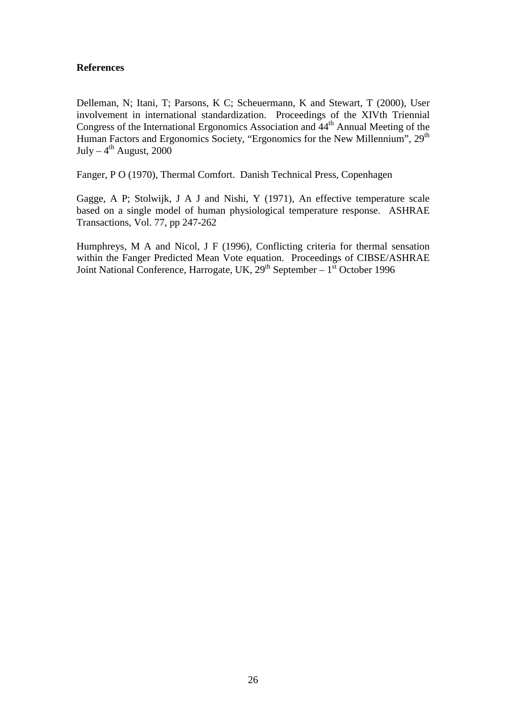### **References**

Delleman, N; Itani, T; Parsons, K C; Scheuermann, K and Stewart, T (2000), User involvement in international standardization. Proceedings of the XIVth Triennial Congress of the International Ergonomics Association and  $44<sup>th</sup>$  Annual Meeting of the Human Factors and Ergonomics Society, "Ergonomics for the New Millennium", 29<sup>th</sup> July –  $4^{th}$  August, 2000

Fanger, P O (1970), Thermal Comfort. Danish Technical Press, Copenhagen

Gagge, A P; Stolwijk, J A J and Nishi, Y (1971), An effective temperature scale based on a single model of human physiological temperature response. ASHRAE Transactions, Vol. 77, pp 247-262

Humphreys, M A and Nicol, J F (1996), Conflicting criteria for thermal sensation within the Fanger Predicted Mean Vote equation. Proceedings of CIBSE/ASHRAE Joint National Conference, Harrogate, UK,  $29<sup>th</sup>$  September –  $1<sup>st</sup>$  October 1996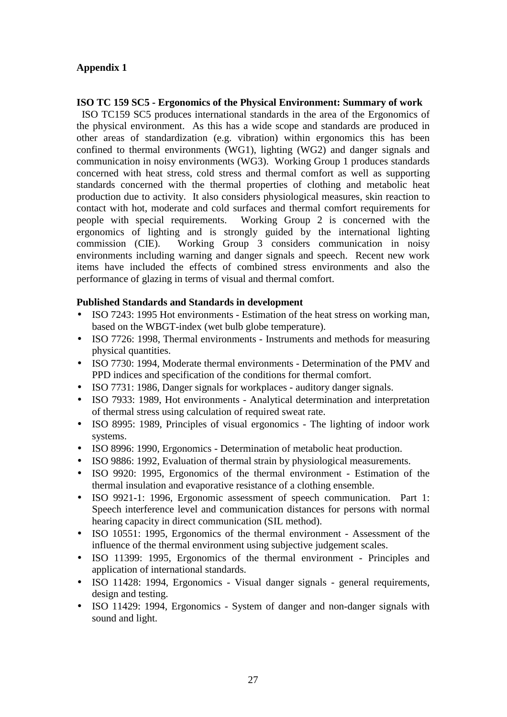## **Appendix 1**

#### **ISO TC 159 SC5 - Ergonomics of the Physical Environment: Summary of work**

 ISO TC159 SC5 produces international standards in the area of the Ergonomics of the physical environment. As this has a wide scope and standards are produced in other areas of standardization (e.g. vibration) within ergonomics this has been confined to thermal environments (WG1), lighting (WG2) and danger signals and communication in noisy environments (WG3). Working Group 1 produces standards concerned with heat stress, cold stress and thermal comfort as well as supporting standards concerned with the thermal properties of clothing and metabolic heat production due to activity. It also considers physiological measures, skin reaction to contact with hot, moderate and cold surfaces and thermal comfort requirements for people with special requirements. Working Group 2 is concerned with the ergonomics of lighting and is strongly guided by the international lighting commission (CIE). Working Group 3 considers communication in noisy environments including warning and danger signals and speech. Recent new work items have included the effects of combined stress environments and also the performance of glazing in terms of visual and thermal comfort.

### **Published Standards and Standards in development**

- ISO 7243: 1995 Hot environments Estimation of the heat stress on working man, based on the WBGT-index (wet bulb globe temperature).
- ISO 7726: 1998, Thermal environments Instruments and methods for measuring physical quantities.
- ISO 7730: 1994, Moderate thermal environments Determination of the PMV and PPD indices and specification of the conditions for thermal comfort.
- ISO 7731: 1986, Danger signals for workplaces auditory danger signals.
- ISO 7933: 1989, Hot environments Analytical determination and interpretation of thermal stress using calculation of required sweat rate.
- ISO 8995: 1989, Principles of visual ergonomics The lighting of indoor work systems.
- ISO 8996: 1990, Ergonomics Determination of metabolic heat production.
- ISO 9886: 1992, Evaluation of thermal strain by physiological measurements.
- ISO 9920: 1995, Ergonomics of the thermal environment Estimation of the thermal insulation and evaporative resistance of a clothing ensemble.
- ISO 9921-1: 1996, Ergonomic assessment of speech communication. Part 1: Speech interference level and communication distances for persons with normal hearing capacity in direct communication (SIL method).
- ISO 10551: 1995, Ergonomics of the thermal environment Assessment of the influence of the thermal environment using subjective judgement scales.
- ISO 11399: 1995, Ergonomics of the thermal environment Principles and application of international standards.
- ISO 11428: 1994, Ergonomics Visual danger signals general requirements, design and testing.
- ISO 11429: 1994, Ergonomics System of danger and non-danger signals with sound and light.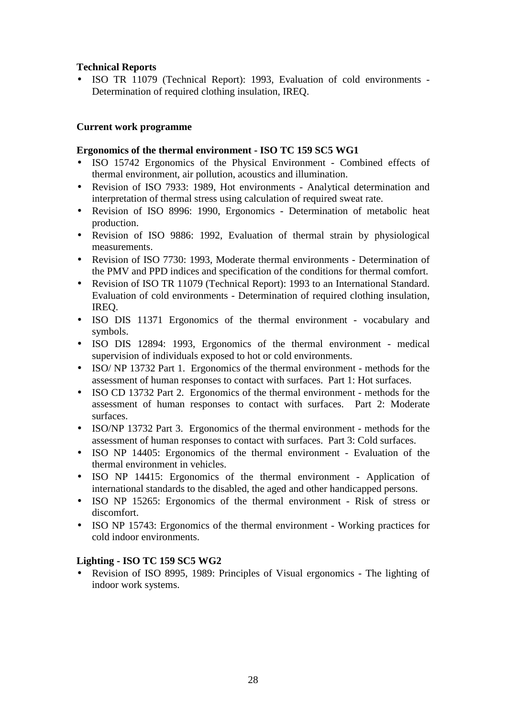## **Technical Reports**

• ISO TR 11079 (Technical Report): 1993, Evaluation of cold environments - Determination of required clothing insulation, IREQ.

## **Current work programme**

### **Ergonomics of the thermal environment - ISO TC 159 SC5 WG1**

- ISO 15742 Ergonomics of the Physical Environment Combined effects of thermal environment, air pollution, acoustics and illumination.
- Revision of ISO 7933: 1989, Hot environments Analytical determination and interpretation of thermal stress using calculation of required sweat rate.
- Revision of ISO 8996: 1990, Ergonomics Determination of metabolic heat production.
- Revision of ISO 9886: 1992, Evaluation of thermal strain by physiological measurements.
- Revision of ISO 7730: 1993, Moderate thermal environments Determination of the PMV and PPD indices and specification of the conditions for thermal comfort.
- Revision of ISO TR 11079 (Technical Report): 1993 to an International Standard. Evaluation of cold environments - Determination of required clothing insulation, IREQ.
- ISO DIS 11371 Ergonomics of the thermal environment vocabulary and symbols.
- ISO DIS 12894: 1993, Ergonomics of the thermal environment medical supervision of individuals exposed to hot or cold environments.
- ISO/ NP 13732 Part 1. Ergonomics of the thermal environment methods for the assessment of human responses to contact with surfaces. Part 1: Hot surfaces.
- ISO CD 13732 Part 2. Ergonomics of the thermal environment methods for the assessment of human responses to contact with surfaces. Part 2: Moderate surfaces.
- ISO/NP 13732 Part 3. Ergonomics of the thermal environment methods for the assessment of human responses to contact with surfaces. Part 3: Cold surfaces.
- ISO NP 14405: Ergonomics of the thermal environment Evaluation of the thermal environment in vehicles.
- ISO NP 14415: Ergonomics of the thermal environment Application of international standards to the disabled, the aged and other handicapped persons.
- ISO NP 15265: Ergonomics of the thermal environment Risk of stress or discomfort.
- ISO NP 15743: Ergonomics of the thermal environment Working practices for cold indoor environments.

## **Lighting - ISO TC 159 SC5 WG2**

• Revision of ISO 8995, 1989: Principles of Visual ergonomics - The lighting of indoor work systems.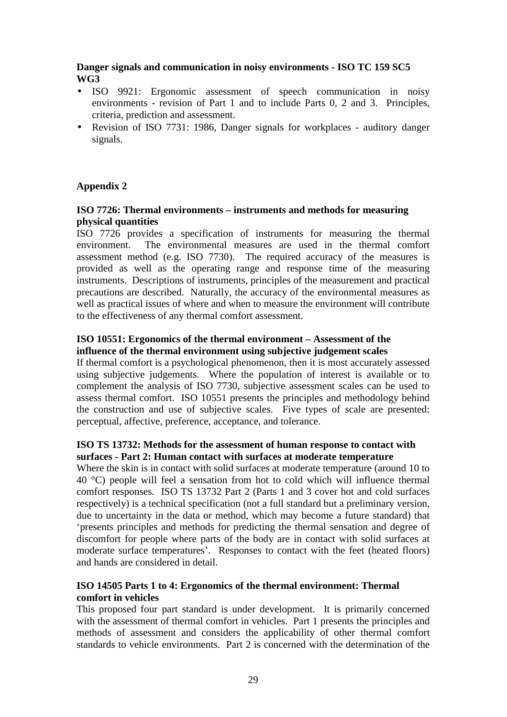## **Danger signals and communication in noisy environments - ISO TC 159 SC5 WG3**

- ISO 9921: Ergonomic assessment of speech communication in noisy environments - revision of Part 1 and to include Parts 0, 2 and 3. Principles, criteria, prediction and assessment.
- Revision of ISO 7731: 1986, Danger signals for workplaces auditory danger signals.

## **Appendix 2**

#### **ISO 7726: Thermal environments – instruments and methods for measuring physical quantities**

ISO 7726 provides a specification of instruments for measuring the thermal environment. The environmental measures are used in the thermal comfort assessment method (e.g. ISO 7730). The required accuracy of the measures is provided as well as the operating range and response time of the measuring instruments. Descriptions of instruments, principles of the measurement and practical precautions are described. Naturally, the accuracy of the environmental measures as well as practical issues of where and when to measure the environment will contribute to the effectiveness of any thermal comfort assessment.

## **ISO 10551: Ergonomics of the thermal environment – Assessment of the influence of the thermal environment using subjective judgement scales**

If thermal comfort is a psychological phenomenon, then it is most accurately assessed using subjective judgements. Where the population of interest is available or to complement the analysis of ISO 7730, subjective assessment scales can be used to assess thermal comfort. ISO 10551 presents the principles and methodology behind the construction and use of subjective scales. Five types of scale are presented: perceptual, affective, preference, acceptance, and tolerance.

## **ISO TS 13732: Methods for the assessment of human response to contact with surfaces - Part 2: Human contact with surfaces at moderate temperature**

Where the skin is in contact with solid surfaces at moderate temperature (around 10 to 40 °C) people will feel a sensation from hot to cold which will influence thermal comfort responses. ISO TS 13732 Part 2 (Parts 1 and 3 cover hot and cold surfaces respectively) is a technical specification (not a full standard but a preliminary version, due to uncertainty in the data or method, which may become a future standard) that 'presents principles and methods for predicting the thermal sensation and degree of discomfort for people where parts of the body are in contact with solid surfaces at moderate surface temperatures'. Responses to contact with the feet (heated floors) and hands are considered in detail.

## **ISO 14505 Parts 1 to 4: Ergonomics of the thermal environment: Thermal comfort in vehicles**

This proposed four part standard is under development. It is primarily concerned with the assessment of thermal comfort in vehicles. Part 1 presents the principles and methods of assessment and considers the applicability of other thermal comfort standards to vehicle environments. Part 2 is concerned with the determination of the